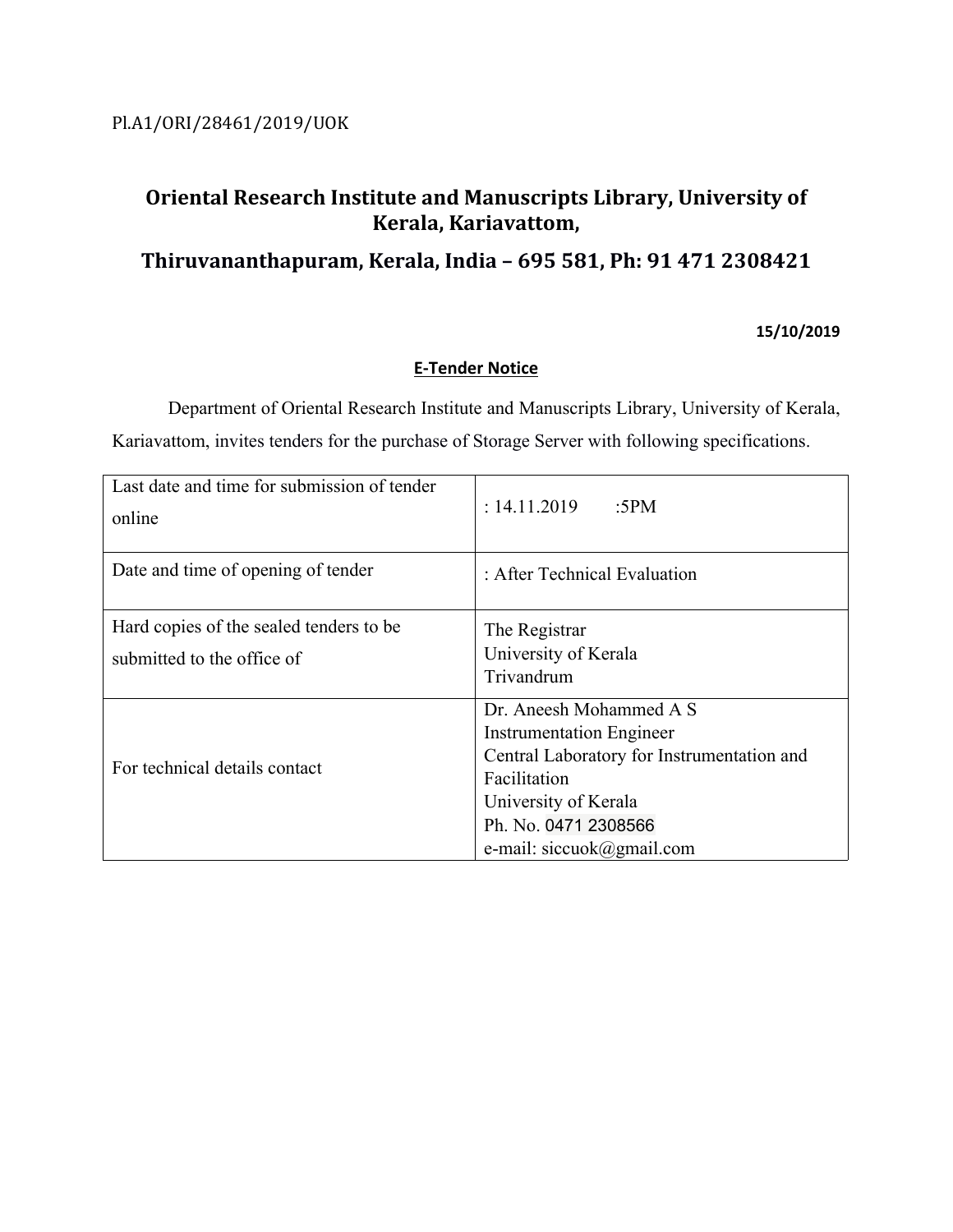# **Oriental Research Institute and Manuscripts Library, University of Kerala, Kariavattom,**

## **Thiruvananthapuram, Kerala, India – 695 581, Ph: 91 471 2308421**

## **15/10/2019**

## **E-Tender Notice**

Department of Oriental Research Institute and Manuscripts Library, University of Kerala, Kariavattom, invites tenders for the purchase of Storage Server with following specifications.

| Last date and time for submission of tender<br>online                  | : 14.11.2019<br>:5 $PM$                                                                                                                                                                               |  |
|------------------------------------------------------------------------|-------------------------------------------------------------------------------------------------------------------------------------------------------------------------------------------------------|--|
| Date and time of opening of tender                                     | : After Technical Evaluation                                                                                                                                                                          |  |
| Hard copies of the sealed tenders to be.<br>submitted to the office of | The Registrar<br>University of Kerala<br>Trivandrum                                                                                                                                                   |  |
| For technical details contact                                          | Dr. Aneesh Mohammed A S<br><b>Instrumentation Engineer</b><br>Central Laboratory for Instrumentation and<br>Facilitation<br>University of Kerala<br>Ph. No. 0471 2308566<br>e-mail: siccuok@gmail.com |  |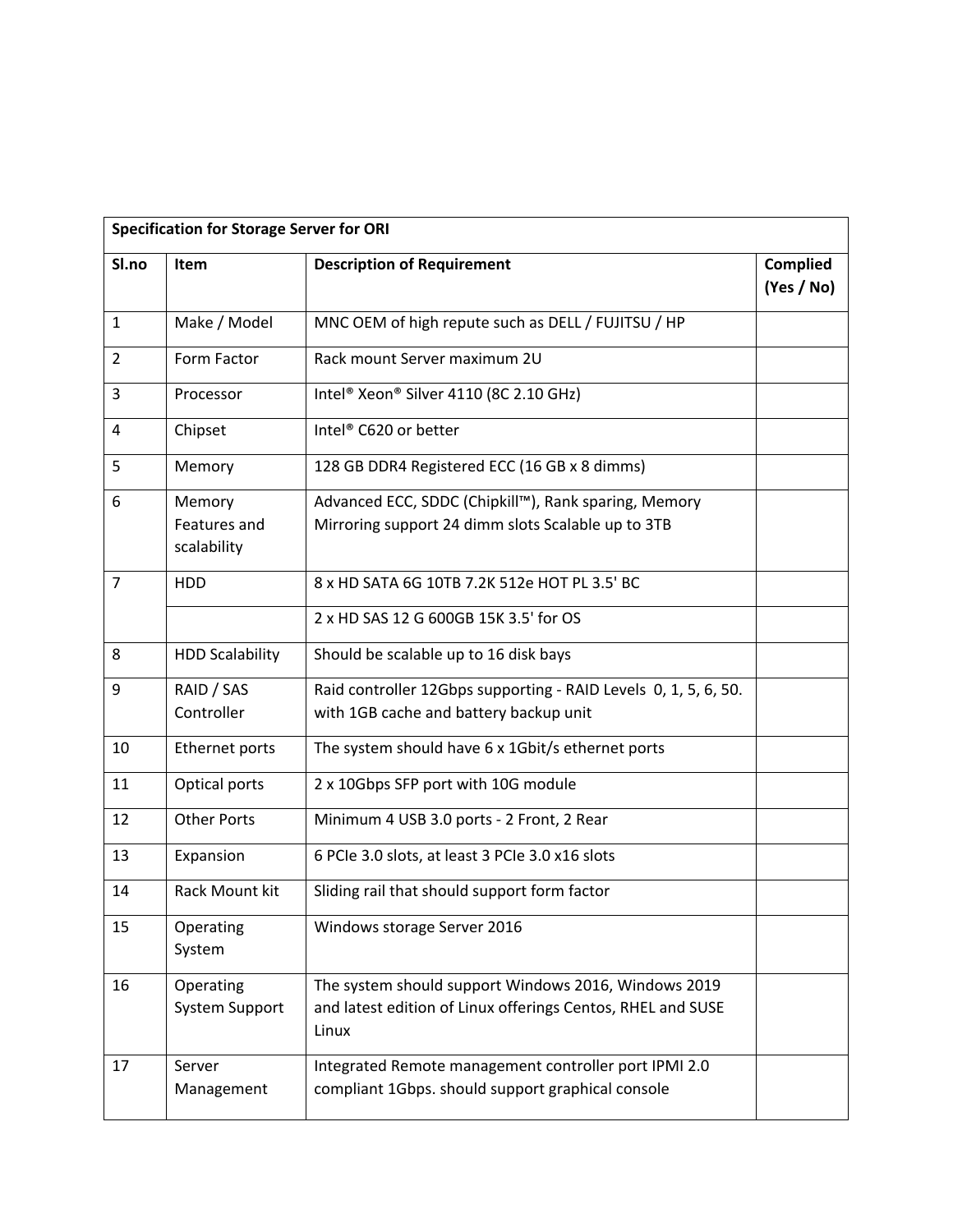|                | <b>Specification for Storage Server for ORI</b> |                                                                                                                              |                               |  |  |
|----------------|-------------------------------------------------|------------------------------------------------------------------------------------------------------------------------------|-------------------------------|--|--|
| Sl.no          | Item                                            | <b>Description of Requirement</b>                                                                                            | <b>Complied</b><br>(Yes / No) |  |  |
| $\mathbf{1}$   | Make / Model                                    | MNC OEM of high repute such as DELL / FUJITSU / HP                                                                           |                               |  |  |
| 2              | Form Factor                                     | Rack mount Server maximum 2U                                                                                                 |                               |  |  |
| 3              | Processor                                       | Intel® Xeon® Silver 4110 (8C 2.10 GHz)                                                                                       |                               |  |  |
| 4              | Chipset                                         | Intel® C620 or better                                                                                                        |                               |  |  |
| 5              | Memory                                          | 128 GB DDR4 Registered ECC (16 GB x 8 dimms)                                                                                 |                               |  |  |
| 6              | Memory<br>Features and<br>scalability           | Advanced ECC, SDDC (Chipkill™), Rank sparing, Memory<br>Mirroring support 24 dimm slots Scalable up to 3TB                   |                               |  |  |
| $\overline{7}$ | HDD                                             | 8 x HD SATA 6G 10TB 7.2K 512e HOT PL 3.5' BC                                                                                 |                               |  |  |
|                |                                                 | 2 x HD SAS 12 G 600GB 15K 3.5' for OS                                                                                        |                               |  |  |
| 8              | <b>HDD Scalability</b>                          | Should be scalable up to 16 disk bays                                                                                        |                               |  |  |
| 9              | RAID / SAS<br>Controller                        | Raid controller 12Gbps supporting - RAID Levels 0, 1, 5, 6, 50.<br>with 1GB cache and battery backup unit                    |                               |  |  |
| 10             | Ethernet ports                                  | The system should have 6 x 1Gbit/s ethernet ports                                                                            |                               |  |  |
| 11             | Optical ports                                   | 2 x 10Gbps SFP port with 10G module                                                                                          |                               |  |  |
| 12             | <b>Other Ports</b>                              | Minimum 4 USB 3.0 ports - 2 Front, 2 Rear                                                                                    |                               |  |  |
| 13             | Expansion                                       | 6 PCIe 3.0 slots, at least 3 PCIe 3.0 x16 slots                                                                              |                               |  |  |
| 14             | Rack Mount kit                                  | Sliding rail that should support form factor                                                                                 |                               |  |  |
| 15             | Operating<br>System                             | Windows storage Server 2016                                                                                                  |                               |  |  |
| 16             | Operating<br><b>System Support</b>              | The system should support Windows 2016, Windows 2019<br>and latest edition of Linux offerings Centos, RHEL and SUSE<br>Linux |                               |  |  |
| 17             | Server<br>Management                            | Integrated Remote management controller port IPMI 2.0<br>compliant 1Gbps. should support graphical console                   |                               |  |  |
|                |                                                 |                                                                                                                              |                               |  |  |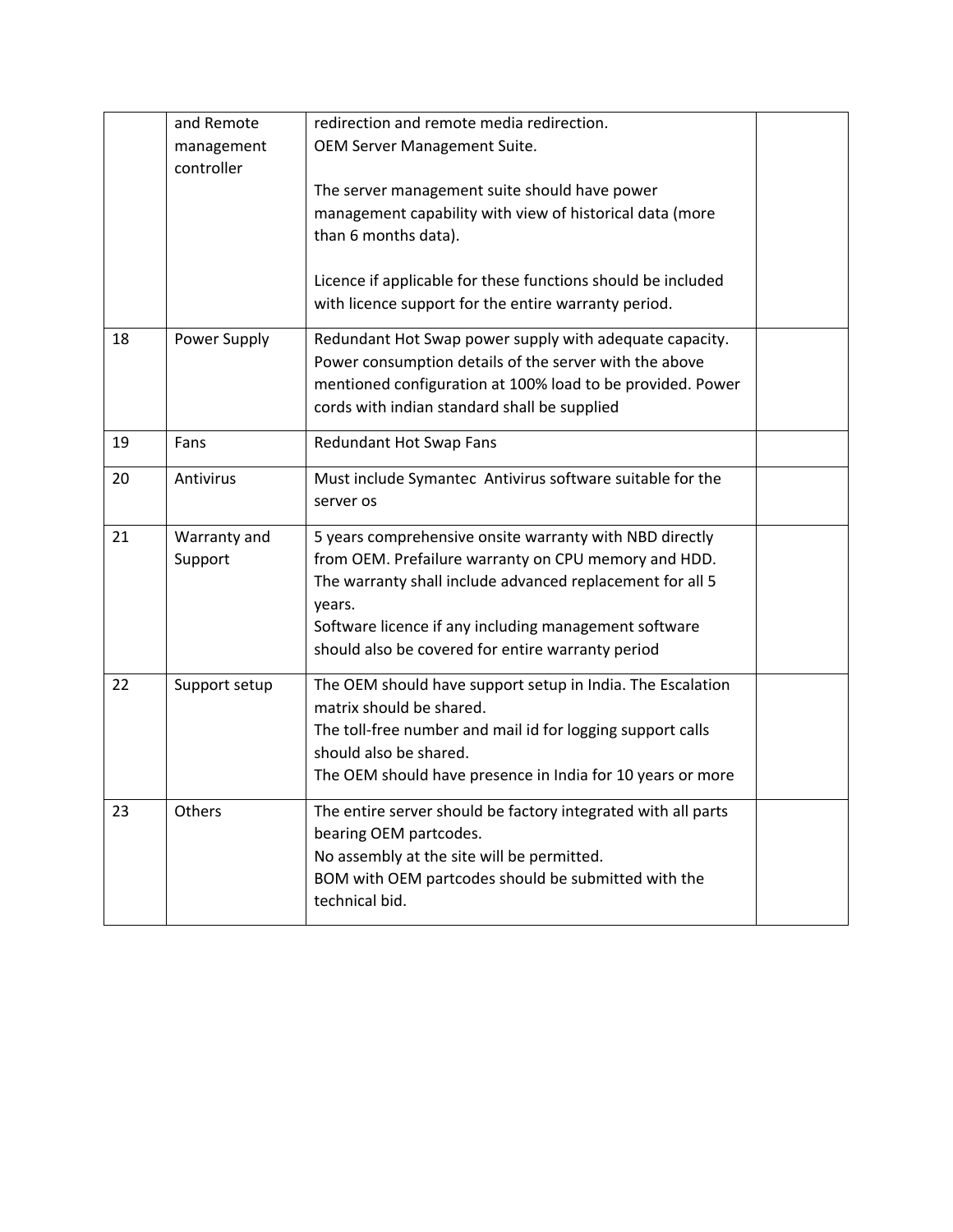| and Remote               | redirection and remote media redirection.                                                                            |                                                                 |
|--------------------------|----------------------------------------------------------------------------------------------------------------------|-----------------------------------------------------------------|
| management<br>controller | OEM Server Management Suite.                                                                                         |                                                                 |
|                          | The server management suite should have power                                                                        |                                                                 |
|                          | management capability with view of historical data (more                                                             |                                                                 |
|                          | than 6 months data).                                                                                                 |                                                                 |
|                          | Licence if applicable for these functions should be included<br>with licence support for the entire warranty period. |                                                                 |
| Power Supply             | Redundant Hot Swap power supply with adequate capacity.                                                              |                                                                 |
|                          | Power consumption details of the server with the above                                                               |                                                                 |
|                          | mentioned configuration at 100% load to be provided. Power                                                           |                                                                 |
|                          | cords with indian standard shall be supplied                                                                         |                                                                 |
| Fans                     | Redundant Hot Swap Fans                                                                                              |                                                                 |
| Antivirus                | Must include Symantec Antivirus software suitable for the                                                            |                                                                 |
|                          | server os                                                                                                            |                                                                 |
| Warranty and             | 5 years comprehensive onsite warranty with NBD directly                                                              |                                                                 |
| Support                  | from OEM. Prefailure warranty on CPU memory and HDD.                                                                 |                                                                 |
|                          | The warranty shall include advanced replacement for all 5                                                            |                                                                 |
|                          |                                                                                                                      |                                                                 |
|                          | should also be covered for entire warranty period                                                                    |                                                                 |
| Support setup            | The OEM should have support setup in India. The Escalation                                                           |                                                                 |
|                          | matrix should be shared.                                                                                             |                                                                 |
|                          | The toll-free number and mail id for logging support calls                                                           |                                                                 |
|                          | should also be shared.                                                                                               |                                                                 |
|                          | The OEM should have presence in India for 10 years or more                                                           |                                                                 |
| Others                   | The entire server should be factory integrated with all parts                                                        |                                                                 |
|                          | bearing OEM partcodes.                                                                                               |                                                                 |
|                          | No assembly at the site will be permitted.                                                                           |                                                                 |
|                          | BOM with OEM partcodes should be submitted with the<br>technical bid.                                                |                                                                 |
|                          |                                                                                                                      | years.<br>Software licence if any including management software |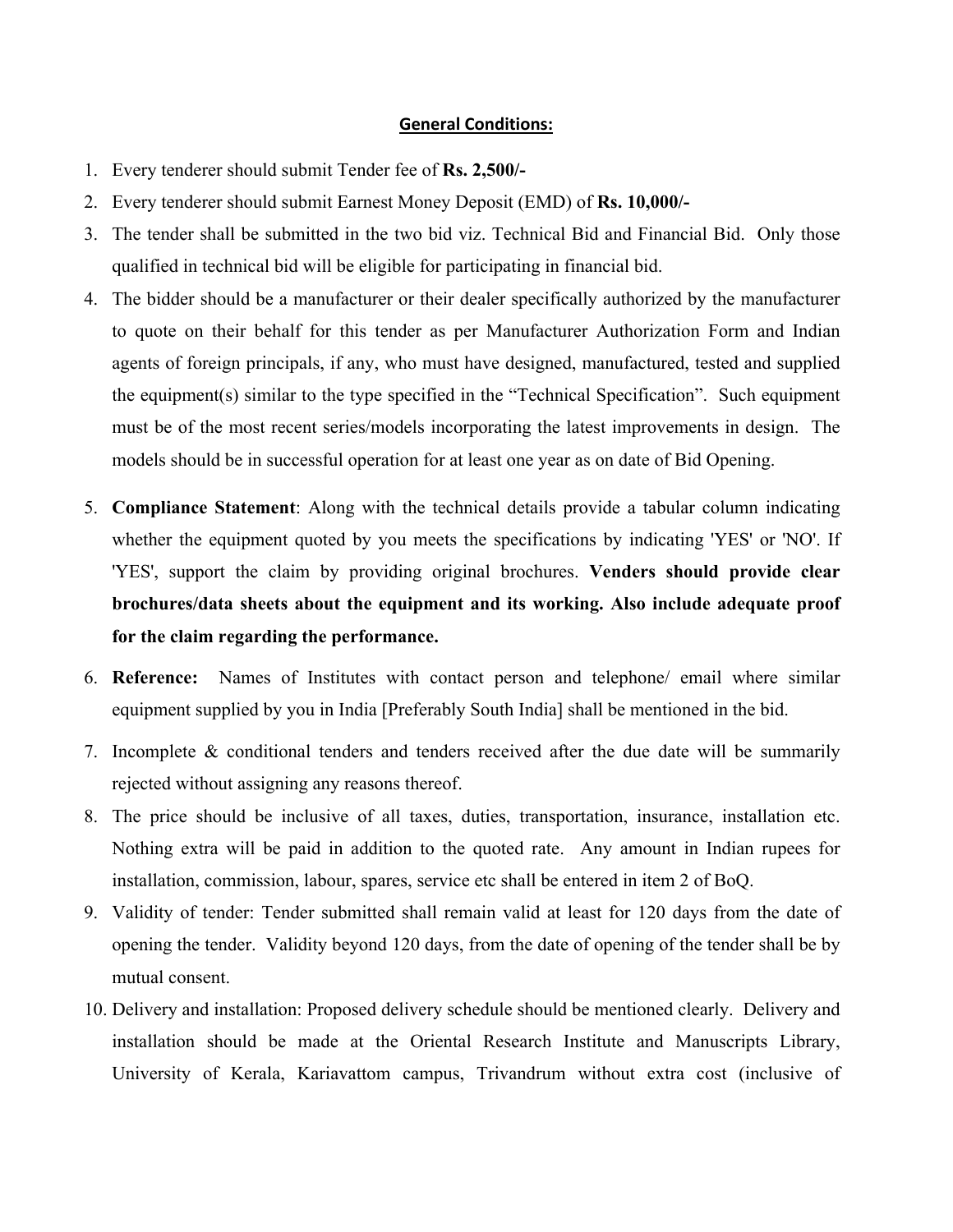## **General Conditions:**

- 1. Every tenderer should submit Tender fee of **Rs. 2,500/-**
- 2. Every tenderer should submit Earnest Money Deposit (EMD) of **Rs. 10,000/-**
- 3. The tender shall be submitted in the two bid viz. Technical Bid and Financial Bid. Only those qualified in technical bid will be eligible for participating in financial bid.
- 4. The bidder should be a manufacturer or their dealer specifically authorized by the manufacturer to quote on their behalf for this tender as per Manufacturer Authorization Form and Indian agents of foreign principals, if any, who must have designed, manufactured, tested and supplied the equipment(s) similar to the type specified in the "Technical Specification". Such equipment must be of the most recent series/models incorporating the latest improvements in design. The models should be in successful operation for at least one year as on date of Bid Opening.
- 5. **Compliance Statement**: Along with the technical details provide a tabular column indicating whether the equipment quoted by you meets the specifications by indicating 'YES' or 'NO'. If 'YES', support the claim by providing original brochures. **Venders should provide clear brochures/data sheets about the equipment and its working. Also include adequate proof for the claim regarding the performance.**
- 6. **Reference:** Names of Institutes with contact person and telephone/ email where similar equipment supplied by you in India [Preferably South India] shall be mentioned in the bid.
- 7. Incomplete & conditional tenders and tenders received after the due date will be summarily rejected without assigning any reasons thereof.
- 8. The price should be inclusive of all taxes, duties, transportation, insurance, installation etc. Nothing extra will be paid in addition to the quoted rate. Any amount in Indian rupees for installation, commission, labour, spares, service etc shall be entered in item 2 of BoQ.
- 9. Validity of tender: Tender submitted shall remain valid at least for 120 days from the date of opening the tender. Validity beyond 120 days, from the date of opening of the tender shall be by mutual consent.
- 10. Delivery and installation: Proposed delivery schedule should be mentioned clearly. Delivery and installation should be made at the Oriental Research Institute and Manuscripts Library, University of Kerala, Kariavattom campus, Trivandrum without extra cost (inclusive of